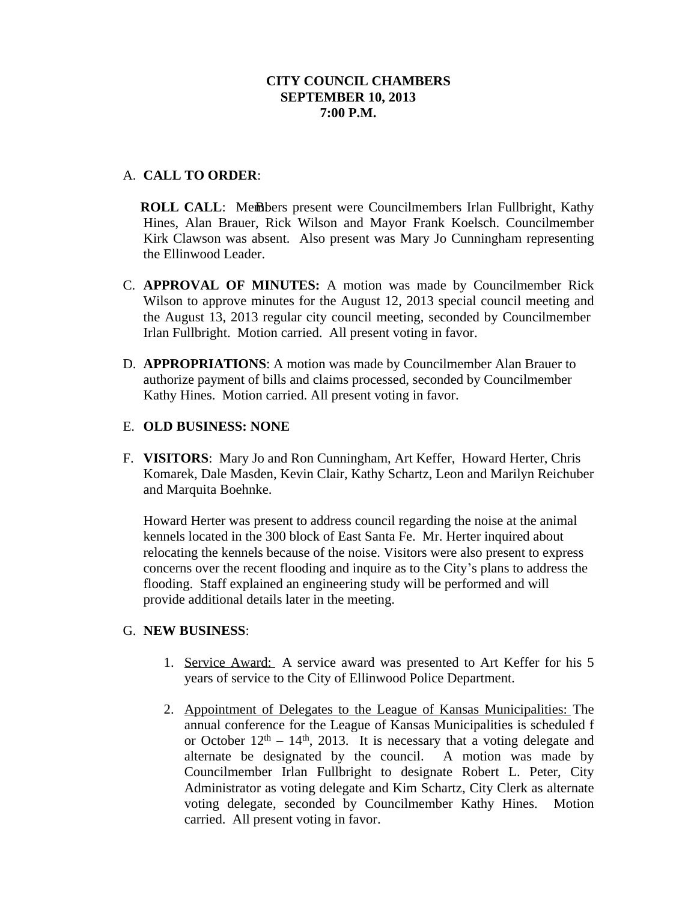# A. **CALL TO ORDER**:

**ROLL CALL:** Members present were Councilmembers Irlan Fullbright, Kathy Hines, Alan Brauer, Rick Wilson and Mayor Frank Koelsch. Councilmember Kirk Clawson was absent. Also present was Mary Jo Cunningham representing the Ellinwood Leader.

- C. **APPROVAL OF MINUTES:** A motion was made by Councilmember Rick Wilson to approve minutes for the August 12, 2013 special council meeting and the August 13, 2013 regular city council meeting, seconded by Councilmember Irlan Fullbright. Motion carried. All present voting in favor.
- D. **APPROPRIATIONS**: A motion was made by Councilmember Alan Brauer to authorize payment of bills and claims processed, seconded by Councilmember Kathy Hines. Motion carried. All present voting in favor.

## E. **OLD BUSINESS: NONE**

F. **VISITORS**: Mary Jo and Ron Cunningham, Art Keffer, Howard Herter, Chris Komarek, Dale Masden, Kevin Clair, Kathy Schartz, Leon and Marilyn Reichuber and Marquita Boehnke.

Howard Herter was present to address council regarding the noise at the animal kennels located in the 300 block of East Santa Fe. Mr. Herter inquired about relocating the kennels because of the noise. Visitors were also present to express concerns over the recent flooding and inquire as to the City's plans to address the flooding. Staff explained an engineering study will be performed and will provide additional details later in the meeting.

## G. **NEW BUSINESS**:

- 1. Service Award: A service award was presented to Art Keffer for his 5 years of service to the City of Ellinwood Police Department.
- 2. Appointment of Delegates to the League of Kansas Municipalities: The annual conference for the League of Kansas Municipalities is scheduled f or October  $12<sup>th</sup> - 14<sup>th</sup>$ , 2013. It is necessary that a voting delegate and alternate be designated by the council. A motion was made by Councilmember Irlan Fullbright to designate Robert L. Peter, City Administrator as voting delegate and Kim Schartz, City Clerk as alternate voting delegate, seconded by Councilmember Kathy Hines. Motion carried. All present voting in favor.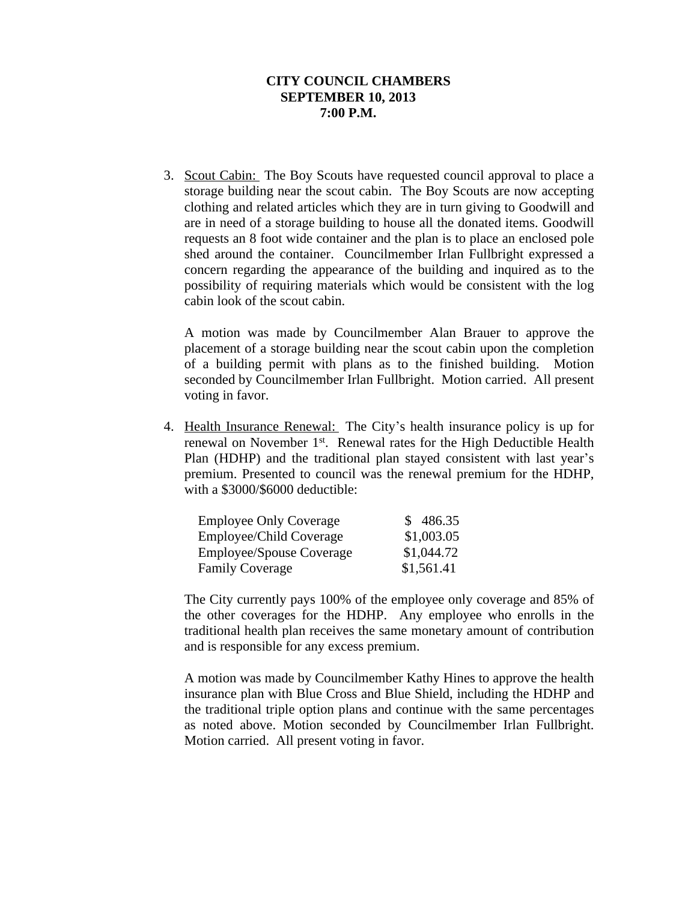3. Scout Cabin: The Boy Scouts have requested council approval to place a storage building near the scout cabin. The Boy Scouts are now accepting clothing and related articles which they are in turn giving to Goodwill and are in need of a storage building to house all the donated items. Goodwill requests an 8 foot wide container and the plan is to place an enclosed pole shed around the container. Councilmember Irlan Fullbright expressed a concern regarding the appearance of the building and inquired as to the possibility of requiring materials which would be consistent with the log cabin look of the scout cabin.

A motion was made by Councilmember Alan Brauer to approve the placement of a storage building near the scout cabin upon the completion of a building permit with plans as to the finished building. Motion seconded by Councilmember Irlan Fullbright. Motion carried. All present voting in favor.

4. Health Insurance Renewal: The City's health insurance policy is up for renewal on November 1<sup>st</sup>. Renewal rates for the High Deductible Health Plan (HDHP) and the traditional plan stayed consistent with last year's premium. Presented to council was the renewal premium for the HDHP, with a \$3000/\$6000 deductible:

| <b>Employee Only Coverage</b>   | \$486.35   |
|---------------------------------|------------|
| Employee/Child Coverage         | \$1,003.05 |
| <b>Employee/Spouse Coverage</b> | \$1,044.72 |
| <b>Family Coverage</b>          | \$1,561.41 |

The City currently pays 100% of the employee only coverage and 85% of the other coverages for the HDHP. Any employee who enrolls in the traditional health plan receives the same monetary amount of contribution and is responsible for any excess premium.

A motion was made by Councilmember Kathy Hines to approve the health insurance plan with Blue Cross and Blue Shield, including the HDHP and the traditional triple option plans and continue with the same percentages as noted above. Motion seconded by Councilmember Irlan Fullbright. Motion carried. All present voting in favor.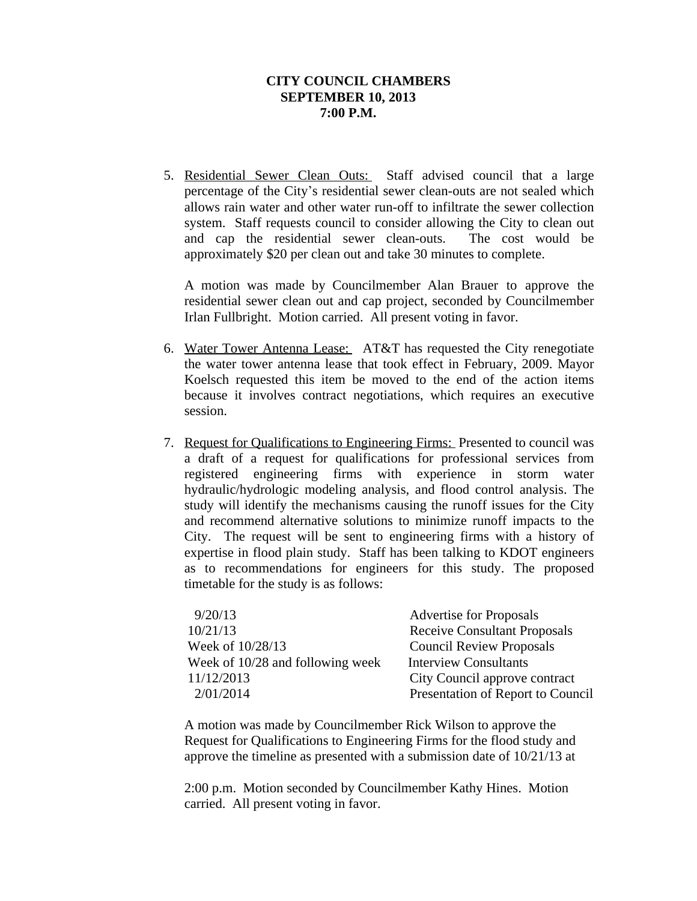5. Residential Sewer Clean Outs: Staff advised council that a large percentage of the City's residential sewer clean-outs are not sealed which allows rain water and other water run-off to infiltrate the sewer collection system. Staff requests council to consider allowing the City to clean out and cap the residential sewer clean-outs. The cost would be approximately \$20 per clean out and take 30 minutes to complete.

A motion was made by Councilmember Alan Brauer to approve the residential sewer clean out and cap project, seconded by Councilmember Irlan Fullbright. Motion carried. All present voting in favor.

- 6. Water Tower Antenna Lease: AT&T has requested the City renegotiate the water tower antenna lease that took effect in February, 2009. Mayor Koelsch requested this item be moved to the end of the action items because it involves contract negotiations, which requires an executive session.
- 7. Request for Qualifications to Engineering Firms: Presented to council was a draft of a request for qualifications for professional services from registered engineering firms with experience in storm water hydraulic/hydrologic modeling analysis, and flood control analysis. The study will identify the mechanisms causing the runoff issues for the City and recommend alternative solutions to minimize runoff impacts to the City. The request will be sent to engineering firms with a history of expertise in flood plain study. Staff has been talking to KDOT engineers as to recommendations for engineers for this study. The proposed timetable for the study is as follows:

| 9/20/13<br><b>Advertise for Proposals</b>                        |                                     |
|------------------------------------------------------------------|-------------------------------------|
| 10/21/13                                                         | <b>Receive Consultant Proposals</b> |
| Week of 10/28/13<br><b>Council Review Proposals</b>              |                                     |
| Week of 10/28 and following week<br><b>Interview Consultants</b> |                                     |
| 11/12/2013                                                       | City Council approve contract       |
| 2/01/2014                                                        | Presentation of Report to Council   |

A motion was made by Councilmember Rick Wilson to approve the Request for Qualifications to Engineering Firms for the flood study and approve the timeline as presented with a submission date of 10/21/13 at

2:00 p.m. Motion seconded by Councilmember Kathy Hines. Motion carried. All present voting in favor.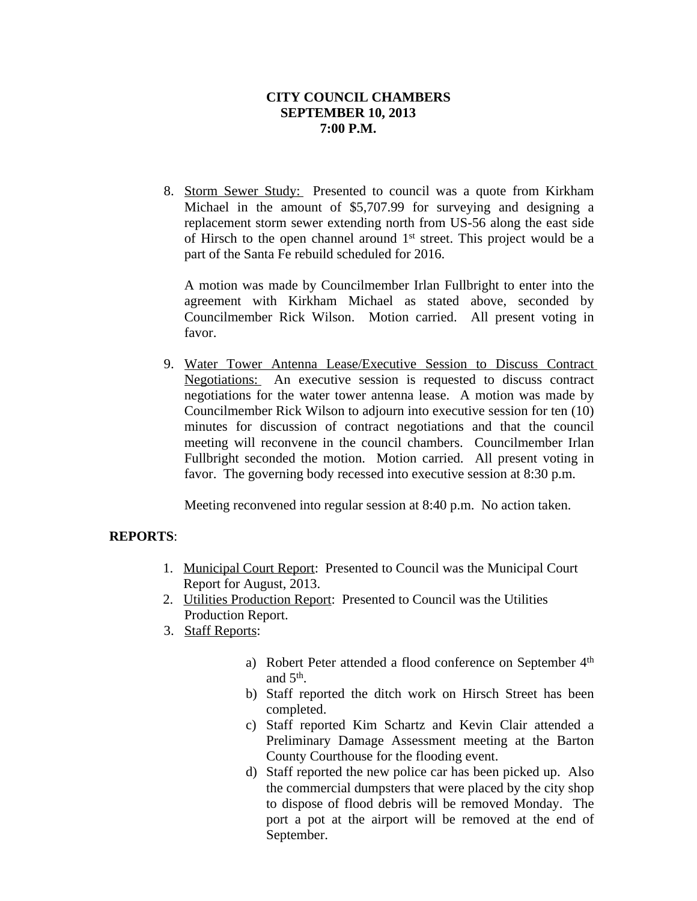8. Storm Sewer Study: Presented to council was a quote from Kirkham Michael in the amount of \$5,707.99 for surveying and designing a replacement storm sewer extending north from US-56 along the east side of Hirsch to the open channel around 1<sup>st</sup> street. This project would be a part of the Santa Fe rebuild scheduled for 2016.

A motion was made by Councilmember Irlan Fullbright to enter into the agreement with Kirkham Michael as stated above, seconded by Councilmember Rick Wilson. Motion carried. All present voting in favor.

9. Water Tower Antenna Lease/Executive Session to Discuss Contract Negotiations: An executive session is requested to discuss contract negotiations for the water tower antenna lease. A motion was made by Councilmember Rick Wilson to adjourn into executive session for ten (10) minutes for discussion of contract negotiations and that the council meeting will reconvene in the council chambers. Councilmember Irlan Fullbright seconded the motion. Motion carried. All present voting in favor. The governing body recessed into executive session at 8:30 p.m.

Meeting reconvened into regular session at 8:40 p.m. No action taken.

## **REPORTS**:

- 1. Municipal Court Report: Presented to Council was the Municipal Court Report for August, 2013.
- 2. Utilities Production Report: Presented to Council was the Utilities Production Report.
- 3. Staff Reports:
	- a) Robert Peter attended a flood conference on September 4<sup>th</sup> and  $5<sup>th</sup>$ .
	- b) Staff reported the ditch work on Hirsch Street has been completed.
	- c) Staff reported Kim Schartz and Kevin Clair attended a Preliminary Damage Assessment meeting at the Barton County Courthouse for the flooding event.
	- d) Staff reported the new police car has been picked up. Also the commercial dumpsters that were placed by the city shop to dispose of flood debris will be removed Monday. The port a pot at the airport will be removed at the end of September.